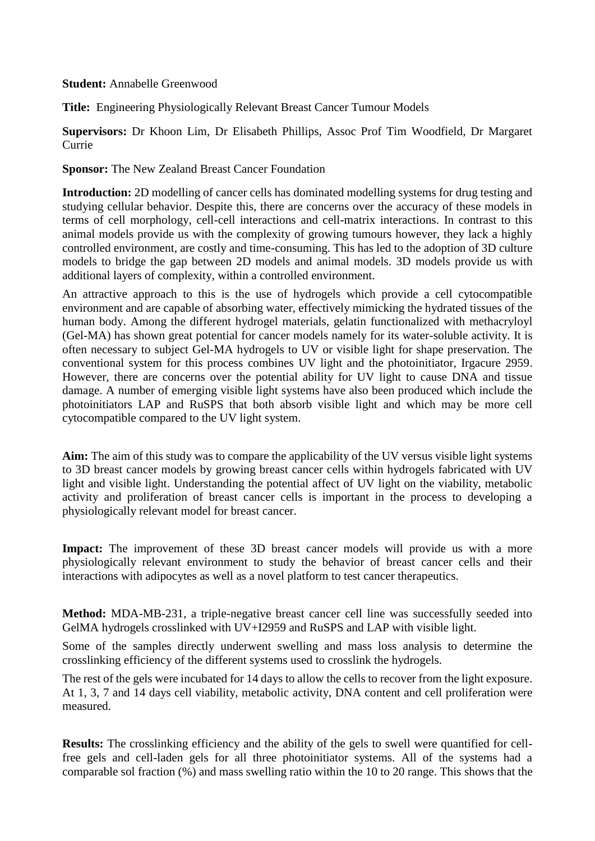## **Student:** Annabelle Greenwood

**Title:** Engineering Physiologically Relevant Breast Cancer Tumour Models

**Supervisors:** Dr Khoon Lim, Dr Elisabeth Phillips, Assoc Prof Tim Woodfield, Dr Margaret Currie

**Sponsor:** The New Zealand Breast Cancer Foundation

**Introduction:** 2D modelling of cancer cells has dominated modelling systems for drug testing and studying cellular behavior. Despite this, there are concerns over the accuracy of these models in terms of cell morphology, cell-cell interactions and cell-matrix interactions. In contrast to this animal models provide us with the complexity of growing tumours however, they lack a highly controlled environment, are costly and time-consuming. This has led to the adoption of 3D culture models to bridge the gap between 2D models and animal models. 3D models provide us with additional layers of complexity, within a controlled environment.

An attractive approach to this is the use of hydrogels which provide a cell cytocompatible environment and are capable of absorbing water, effectively mimicking the hydrated tissues of the human body. Among the different hydrogel materials, gelatin functionalized with methacryloyl (Gel-MA) has shown great potential for cancer models namely for its water-soluble activity. It is often necessary to subject Gel-MA hydrogels to UV or visible light for shape preservation. The conventional system for this process combines UV light and the photoinitiator, Irgacure 2959. However, there are concerns over the potential ability for UV light to cause DNA and tissue damage. A number of emerging visible light systems have also been produced which include the photoinitiators LAP and RuSPS that both absorb visible light and which may be more cell cytocompatible compared to the UV light system.

**Aim:** The aim of this study was to compare the applicability of the UV versus visible light systems to 3D breast cancer models by growing breast cancer cells within hydrogels fabricated with UV light and visible light. Understanding the potential affect of UV light on the viability, metabolic activity and proliferation of breast cancer cells is important in the process to developing a physiologically relevant model for breast cancer.

**Impact:** The improvement of these 3D breast cancer models will provide us with a more physiologically relevant environment to study the behavior of breast cancer cells and their interactions with adipocytes as well as a novel platform to test cancer therapeutics.

**Method:** MDA-MB-231, a triple-negative breast cancer cell line was successfully seeded into GelMA hydrogels crosslinked with UV+I2959 and RuSPS and LAP with visible light.

Some of the samples directly underwent swelling and mass loss analysis to determine the crosslinking efficiency of the different systems used to crosslink the hydrogels.

The rest of the gels were incubated for 14 days to allow the cells to recover from the light exposure. At 1, 3, 7 and 14 days cell viability, metabolic activity, DNA content and cell proliferation were measured.

**Results:** The crosslinking efficiency and the ability of the gels to swell were quantified for cellfree gels and cell-laden gels for all three photoinitiator systems. All of the systems had a comparable sol fraction (%) and mass swelling ratio within the 10 to 20 range. This shows that the